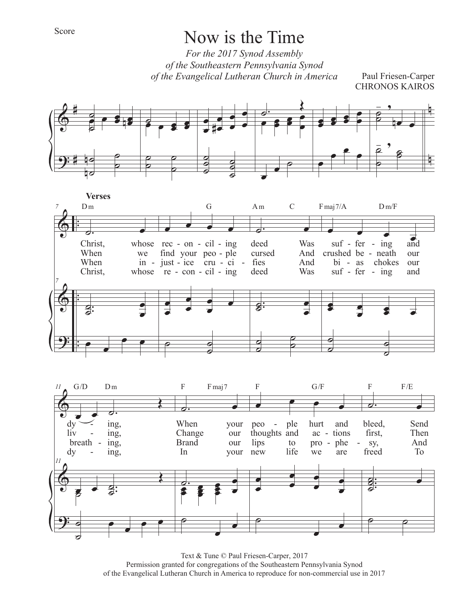*For the 2017 Synod Assembly of the Southeastern Pennsylvania Synod of the Evangelical Lutheran Church in America*

Paul Friesen-Carper CHRONOS KAIROS







Text & Tune © Paul Friesen-Carper, 2017 Permission granted for congregations of the Southeastern Pennsylvania Synod of the Evangelical Lutheran Church in America to reproduce for non-commercial use in 2017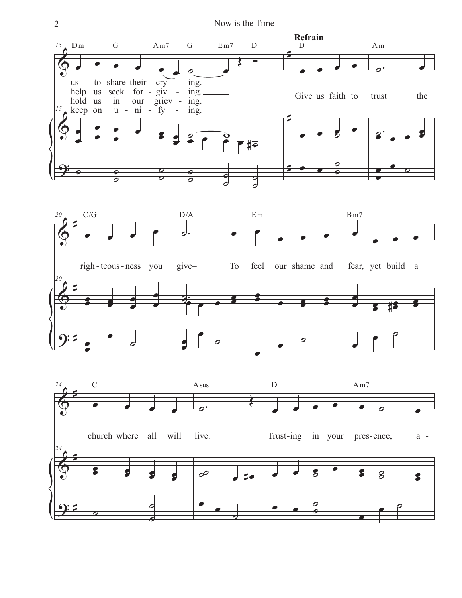2 Now is the Time